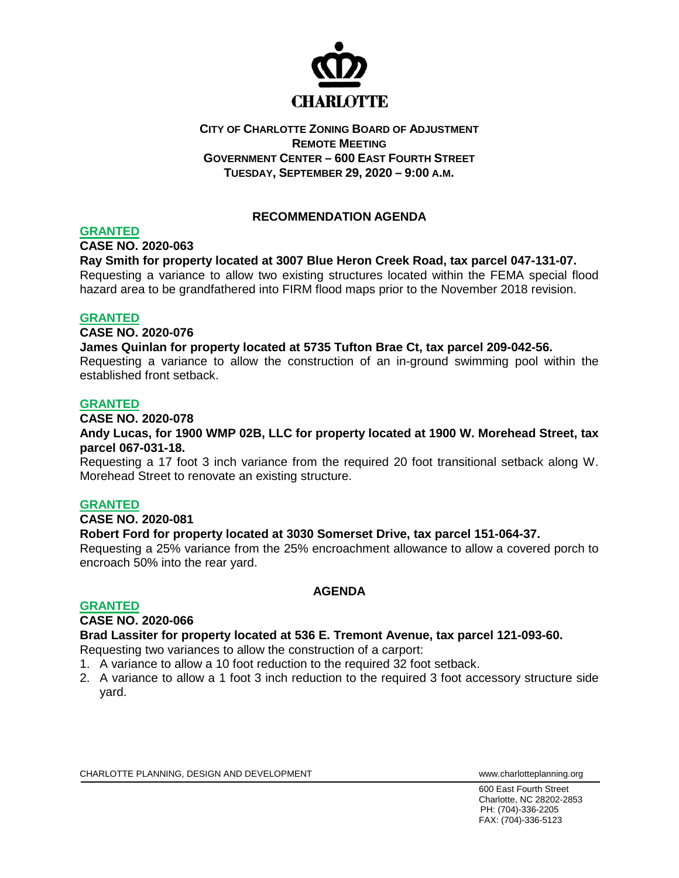

# **CITY OF CHARLOTTE ZONING BOARD OF ADJUSTMENT REMOTE MEETING GOVERNMENT CENTER – 600 EAST FOURTH STREET TUESDAY, SEPTEMBER 29, 2020 – 9:00 A.M.**

# **RECOMMENDATION AGENDA**

## **GRANTED**

**CASE NO. 2020-063**

## **Ray Smith for property located at 3007 Blue Heron Creek Road, tax parcel 047-131-07.**

Requesting a variance to allow two existing structures located within the FEMA special flood hazard area to be grandfathered into FIRM flood maps prior to the November 2018 revision.

## **GRANTED**

#### **CASE NO. 2020-076**

**James Quinlan for property located at 5735 Tufton Brae Ct, tax parcel 209-042-56.**

Requesting a variance to allow the construction of an in-ground swimming pool within the established front setback.

## **GRANTED**

#### **CASE NO. 2020-078**

**Andy Lucas, for 1900 WMP 02B, LLC for property located at 1900 W. Morehead Street, tax parcel 067-031-18.**

Requesting a 17 foot 3 inch variance from the required 20 foot transitional setback along W. Morehead Street to renovate an existing structure.

# **GRANTED**

#### **CASE NO. 2020-081**

# **Robert Ford for property located at 3030 Somerset Drive, tax parcel 151-064-37.**

Requesting a 25% variance from the 25% encroachment allowance to allow a covered porch to encroach 50% into the rear yard.

#### **GRANTED**

# **AGENDA**

# **CASE NO. 2020-066**

**Brad Lassiter for property located at 536 E. Tremont Avenue, tax parcel 121-093-60.**

Requesting two variances to allow the construction of a carport:

- 1. A variance to allow a 10 foot reduction to the required 32 foot setback.
- 2. A variance to allow a 1 foot 3 inch reduction to the required 3 foot accessory structure side yard.

CHARLOTTE PLANNING, DESIGN AND DEVELOPMENT WWW.Charlotteplanning.org

600 East Fourth Street Charlotte, NC 28202-2853 PH: (704)-336-2205 FAX: (704)-336-5123